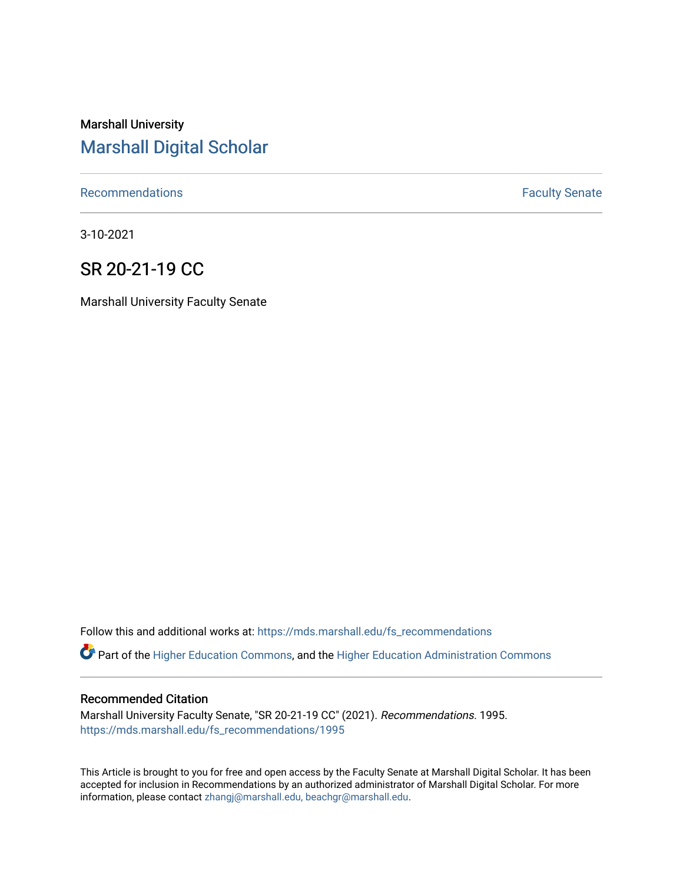# Marshall University [Marshall Digital Scholar](https://mds.marshall.edu/)

[Recommendations](https://mds.marshall.edu/fs_recommendations) **Faculty** Senate

3-10-2021

## SR 20-21-19 CC

Marshall University Faculty Senate

Follow this and additional works at: [https://mds.marshall.edu/fs\\_recommendations](https://mds.marshall.edu/fs_recommendations?utm_source=mds.marshall.edu%2Ffs_recommendations%2F1995&utm_medium=PDF&utm_campaign=PDFCoverPages)

Part of the [Higher Education Commons,](http://network.bepress.com/hgg/discipline/1245?utm_source=mds.marshall.edu%2Ffs_recommendations%2F1995&utm_medium=PDF&utm_campaign=PDFCoverPages) and the [Higher Education Administration Commons](http://network.bepress.com/hgg/discipline/791?utm_source=mds.marshall.edu%2Ffs_recommendations%2F1995&utm_medium=PDF&utm_campaign=PDFCoverPages) 

#### Recommended Citation

Marshall University Faculty Senate, "SR 20-21-19 CC" (2021). Recommendations. 1995. [https://mds.marshall.edu/fs\\_recommendations/1995](https://mds.marshall.edu/fs_recommendations/1995?utm_source=mds.marshall.edu%2Ffs_recommendations%2F1995&utm_medium=PDF&utm_campaign=PDFCoverPages) 

This Article is brought to you for free and open access by the Faculty Senate at Marshall Digital Scholar. It has been accepted for inclusion in Recommendations by an authorized administrator of Marshall Digital Scholar. For more information, please contact [zhangj@marshall.edu, beachgr@marshall.edu](mailto:zhangj@marshall.edu,%20beachgr@marshall.edu).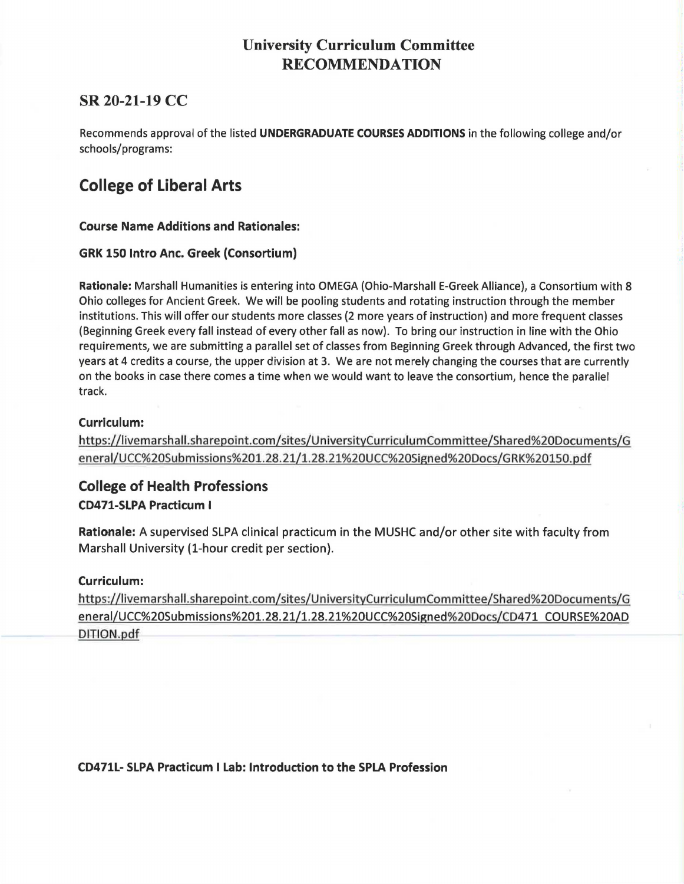## **University Curriculum Committee RECOMMENDATION**

## **SR 20-21-19 CC**

Recommends approval of the listed **UNDERGRADUATE COURSES ADDITIONS** in the following college and/or schools/programs:

# **College of Liberal Arts**

**Course Name Additions and Rationales:** 

### **GRK 150 Intro Anc. Greek (Consortium)**

**Rationale:** Marshall Humanities is entering into OMEGA (Ohio-Marshall E-Greek Alliance), a Consortium with 8 Ohio colleges for Ancient Greek. We will be pooling students and rotating instruction through the member institutions. This will offer our students more classes (2 more years of instruction) and more frequent classes (Beginning Greek every fall instead of every other fall as now). To bring our instruction in line with the Ohio requirements, we are submitting a parallel set of classes from Beginning Greek through Advanced, the first two years at 4 credits a course, the upper division at 3. We are not merely changing the courses that are currently on the books in case there comes a time when we would want to leave the consortium, hence the parallel track.

### **Curriculum:**

https://livemarshall.sharepoint.com/sites/UniversityCurriculumCommittee/Shared%20Documents/G eneral/UCC%20Submissions%201.28.21/l.28.21%20UCC%20Signed%20Docs/GRK%20150.pdf

### **College of Health Professions CD471-SLPA Practicum** I

**Rationale: A** supervised SLPA clinical practicum in the MUSHC and/or other site with faculty from Marshall University (1-hour credit per section).

### **Curriculum:**

https://livemarshall.sharepoint.com/sites/UniversityCurriculumCommittee/Shared%20Documents/G eneral/UCC%20Submissions%201.28.21/1.28.21%20UCC%20Signed%20Docs/CD471 COURSE%20AD DITIQN.pdf

**CD471L- SLPA Practicum I Lab: Introduction to the SPLA Profession**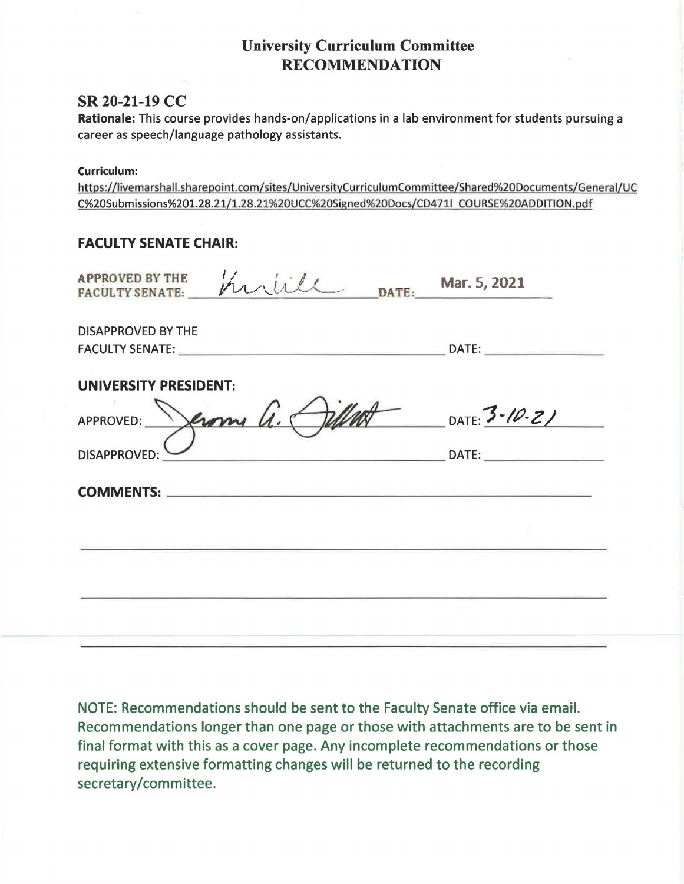## **University Curriculum Committee RECOMMENDATION**

### **SR 20-21-19 CC**

**Rationale:** This course provides hands-on/applications in a lab environment for students pursuing a career as speech/language pathology assistants.

#### **Curriculum:**

https://livemarshall.sharepoint.com/sites/UniversityCurriculumCommittee/Shared%20Documents/General/UC C%20Submissions%201.28.21/1.28.21%20UCC%20Signed%20Docs/CD4711 COURSE%20ADDITION.pdf

### **FACULTY SENATE CHAIR:**

| <b>APPROVED BY THE</b><br>Martill DATE: Mar. 5, 2021<br><b>FACULTY SENATE:</b> |                                                                                                                                                                                                                                                                                                                                                                                                                                                                                            |
|--------------------------------------------------------------------------------|--------------------------------------------------------------------------------------------------------------------------------------------------------------------------------------------------------------------------------------------------------------------------------------------------------------------------------------------------------------------------------------------------------------------------------------------------------------------------------------------|
| DISAPPROVED BY THE                                                             |                                                                                                                                                                                                                                                                                                                                                                                                                                                                                            |
| <b>UNIVERSITY PRESIDENT:</b>                                                   |                                                                                                                                                                                                                                                                                                                                                                                                                                                                                            |
| Jeromy G. Different DATE: 3-10-21<br>APPROVED:                                 |                                                                                                                                                                                                                                                                                                                                                                                                                                                                                            |
| <b>DISAPPROVED:</b>                                                            | $\blacksquare$ $\blacksquare$ $\blacksquare$ $\blacksquare$ $\blacksquare$ $\blacksquare$ $\blacksquare$ $\blacksquare$ $\blacksquare$ $\blacksquare$ $\blacksquare$ $\blacksquare$ $\blacksquare$ $\blacksquare$ $\blacksquare$ $\blacksquare$ $\blacksquare$ $\blacksquare$ $\blacksquare$ $\blacksquare$ $\blacksquare$ $\blacksquare$ $\blacksquare$ $\blacksquare$ $\blacksquare$ $\blacksquare$ $\blacksquare$ $\blacksquare$ $\blacksquare$ $\blacksquare$ $\blacksquare$ $\blacks$ |
|                                                                                |                                                                                                                                                                                                                                                                                                                                                                                                                                                                                            |
|                                                                                |                                                                                                                                                                                                                                                                                                                                                                                                                                                                                            |
|                                                                                |                                                                                                                                                                                                                                                                                                                                                                                                                                                                                            |
|                                                                                |                                                                                                                                                                                                                                                                                                                                                                                                                                                                                            |

NOTE: Recommendations should be sent to the Faculty Senate office via email. Recommendations longer than one page or those with attachments are to be sent in final format with this as a cover page. Any incomplete recommendations or those requiring extensive formatting changes will be returned to the recording secretary/committee.